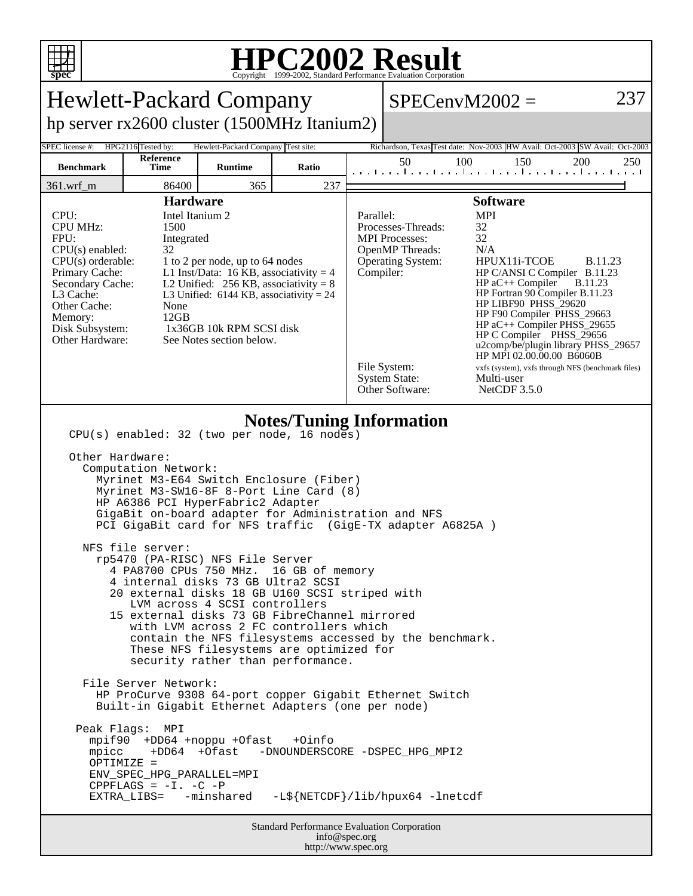

## **HPC2002 Result**

| <b>Hewlett-Packard Company</b>                                                                                                                                                                                                                                                                                                                                                                                                                                                                                                                                                                                                                                                                                                                                                                                                                                                                                                                                                                                                                                                                                                                                                                                                                          |                    |                                    |       |  |                                                                                                                                                                                                                                                                                                                                                                                                                                                                                                                                                                                                                                                  | $SPECenvM2002 =$                                                            | 237        |  |  |  |
|---------------------------------------------------------------------------------------------------------------------------------------------------------------------------------------------------------------------------------------------------------------------------------------------------------------------------------------------------------------------------------------------------------------------------------------------------------------------------------------------------------------------------------------------------------------------------------------------------------------------------------------------------------------------------------------------------------------------------------------------------------------------------------------------------------------------------------------------------------------------------------------------------------------------------------------------------------------------------------------------------------------------------------------------------------------------------------------------------------------------------------------------------------------------------------------------------------------------------------------------------------|--------------------|------------------------------------|-------|--|--------------------------------------------------------------------------------------------------------------------------------------------------------------------------------------------------------------------------------------------------------------------------------------------------------------------------------------------------------------------------------------------------------------------------------------------------------------------------------------------------------------------------------------------------------------------------------------------------------------------------------------------------|-----------------------------------------------------------------------------|------------|--|--|--|
| hp server rx2600 cluster (1500MHz Itanium2)                                                                                                                                                                                                                                                                                                                                                                                                                                                                                                                                                                                                                                                                                                                                                                                                                                                                                                                                                                                                                                                                                                                                                                                                             |                    |                                    |       |  |                                                                                                                                                                                                                                                                                                                                                                                                                                                                                                                                                                                                                                                  |                                                                             |            |  |  |  |
| SPEC license #:                                                                                                                                                                                                                                                                                                                                                                                                                                                                                                                                                                                                                                                                                                                                                                                                                                                                                                                                                                                                                                                                                                                                                                                                                                         | HPG2116 Tested by: | Hewlett-Packard Company Test site: |       |  |                                                                                                                                                                                                                                                                                                                                                                                                                                                                                                                                                                                                                                                  | Richardson, Texas Test date: Nov-2003 HW Avail: Oct-2003 SW Avail: Oct-2003 |            |  |  |  |
| <b>Benchmark</b>                                                                                                                                                                                                                                                                                                                                                                                                                                                                                                                                                                                                                                                                                                                                                                                                                                                                                                                                                                                                                                                                                                                                                                                                                                        | Reference<br>Time  | <b>Runtime</b>                     | Ratio |  | 50                                                                                                                                                                                                                                                                                                                                                                                                                                                                                                                                                                                                                                               | 100<br>150<br>المتوجا وتوجا وتوجا وتوجا وتوجا وتوجا وتوجا وتوجا وتر         | 200<br>250 |  |  |  |
| 361.wrf_m                                                                                                                                                                                                                                                                                                                                                                                                                                                                                                                                                                                                                                                                                                                                                                                                                                                                                                                                                                                                                                                                                                                                                                                                                                               | 86400              | 365                                | 237   |  |                                                                                                                                                                                                                                                                                                                                                                                                                                                                                                                                                                                                                                                  |                                                                             |            |  |  |  |
| <b>Hardware</b><br>Intel Itanium 2<br>CPU:<br><b>CPU MHz:</b><br>1500<br>FPII:<br>Integrated<br>$CPU(s)$ enabled:<br>32<br>$CPU(s)$ orderable:<br>1 to 2 per node, up to 64 nodes<br>L1 Inst/Data: 16 KB, associativity = $4$<br>Primary Cache:<br>Secondary Cache:<br>L2 Unified: $256$ KB, associativity = 8<br>L3 Cache:<br>L3 Unified: $6144$ KB, associativity = 24<br>Other Cache:<br>None<br>12GB<br>Memory:<br>1x36GB 10k RPM SCSI disk<br>Disk Subsystem:<br>Other Hardware:<br>See Notes section below.                                                                                                                                                                                                                                                                                                                                                                                                                                                                                                                                                                                                                                                                                                                                       |                    |                                    |       |  | <b>Software</b><br><b>MPI</b><br>Parallel:<br>Processes-Threads:<br>32<br>32<br><b>MPI</b> Processes:<br>OpenMP Threads:<br>N/A<br>HPUX11i-TCOE<br><b>B.11.23</b><br>Operating System:<br>Compiler:<br>HP C/ANSI C Compiler B.11.23<br>$HP$ aC++ Compiler<br><b>B.11.23</b><br>HP Fortran 90 Compiler B.11.23<br>HP LIBF90 PHSS_29620<br>HP F90 Compiler PHSS_29663<br>HP aC++ Compiler PHSS_29655<br>HP C Compiler PHSS_29656<br>u2comp/be/plugin library PHSS_29657<br>HP MPI 02.00.00.00 B6060B<br>File System:<br>vxfs (system), vxfs through NFS (benchmark files)<br><b>System State:</b><br>Multi-user<br>Other Software:<br>NetCDF 3.5.0 |                                                                             |            |  |  |  |
| <b>Notes/Tuning Information</b><br>CPU(s) enabled: 32 (two per node, 16 nodes)<br>Other Hardware:<br>Computation Network:<br>Myrinet M3-E64 Switch Enclosure (Fiber)<br>Myrinet M3-SW16-8F 8-Port Line Card (8)<br>HP A6386 PCI HyperFabric2 Adapter<br>GigaBit on-board adapter for Administration and NFS<br>PCI GigaBit card for NFS traffic (GigE-TX adapter A6825A)<br>NFS file server:<br>rp5470 (PA-RISC) NFS File Server<br>4 PA8700 CPUs 750 MHz.<br>16 GB of memory<br>4 internal disks 73 GB Ultra2 SCSI<br>20 external disks 18 GB U160 SCSI striped with<br>LVM across 4 SCSI controllers<br>15 external disks 73 GB FibreChannel mirrored<br>with LVM across 2 FC controllers which<br>contain the NFS filesystems accessed by the benchmark.<br>These NFS filesystems are optimized for<br>security rather than performance.<br>File Server Network:<br>HP ProCurve 9308 64-port copper Gigabit Ethernet Switch<br>Built-in Gigabit Ethernet Adapters (one per node)<br>Peak Flags: MPI<br>mpif90 +DD64 +noppu +Ofast<br>+0info<br>+DD64 +Ofast<br>mpicc<br>-DNOUNDERSCORE -DSPEC_HPG_MPI2<br>OPTIMIZE =<br>ENV_SPEC_HPG_PARALLEL=MPI<br><code>CPPFLAGS = -I. -C -P</code><br>-L\${NETCDF}/lib/hpux64 -lnetcdf<br>EXTRA_LIBS= -minshared |                    |                                    |       |  |                                                                                                                                                                                                                                                                                                                                                                                                                                                                                                                                                                                                                                                  |                                                                             |            |  |  |  |
| Standard Performance Evaluation Corporation<br>info@spec.org<br>http://www.spec.org                                                                                                                                                                                                                                                                                                                                                                                                                                                                                                                                                                                                                                                                                                                                                                                                                                                                                                                                                                                                                                                                                                                                                                     |                    |                                    |       |  |                                                                                                                                                                                                                                                                                                                                                                                                                                                                                                                                                                                                                                                  |                                                                             |            |  |  |  |